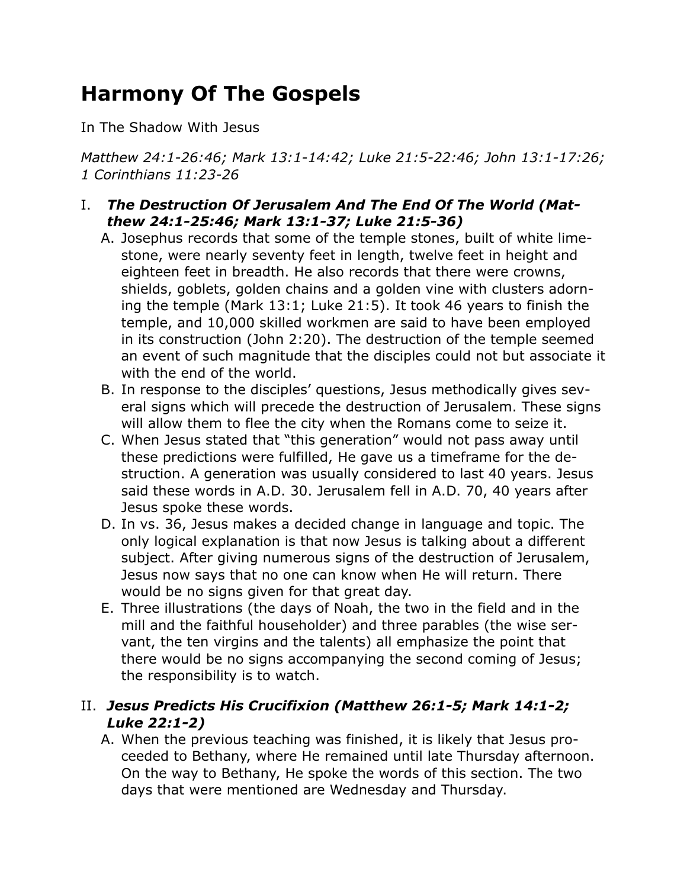# **Harmony Of The Gospels**

In The Shadow With Jesus

*Matthew 24:1-26:46; Mark 13:1-14:42; Luke 21:5-22:46; John 13:1-17:26; 1 Corinthians 11:23-26*

# I. *The Destruction Of Jerusalem And The End Of The World (Matthew 24:1-25:46; Mark 13:1-37; Luke 21:5-36)*

- A. Josephus records that some of the temple stones, built of white limestone, were nearly seventy feet in length, twelve feet in height and eighteen feet in breadth. He also records that there were crowns, shields, goblets, golden chains and a golden vine with clusters adorning the temple (Mark 13:1; Luke 21:5). It took 46 years to finish the temple, and 10,000 skilled workmen are said to have been employed in its construction (John 2:20). The destruction of the temple seemed an event of such magnitude that the disciples could not but associate it with the end of the world.
- B. In response to the disciples' questions, Jesus methodically gives several signs which will precede the destruction of Jerusalem. These signs will allow them to flee the city when the Romans come to seize it.
- C. When Jesus stated that "this generation" would not pass away until these predictions were fulfilled, He gave us a timeframe for the destruction. A generation was usually considered to last 40 years. Jesus said these words in A.D. 30. Jerusalem fell in A.D. 70, 40 years after Jesus spoke these words.
- D. In vs. 36, Jesus makes a decided change in language and topic. The only logical explanation is that now Jesus is talking about a different subject. After giving numerous signs of the destruction of Jerusalem, Jesus now says that no one can know when He will return. There would be no signs given for that great day.
- E. Three illustrations (the days of Noah, the two in the field and in the mill and the faithful householder) and three parables (the wise servant, the ten virgins and the talents) all emphasize the point that there would be no signs accompanying the second coming of Jesus; the responsibility is to watch.

# II. *Jesus Predicts His Crucifixion (Matthew 26:1-5; Mark 14:1-2; Luke 22:1-2)*

A. When the previous teaching was finished, it is likely that Jesus proceeded to Bethany, where He remained until late Thursday afternoon. On the way to Bethany, He spoke the words of this section. The two days that were mentioned are Wednesday and Thursday.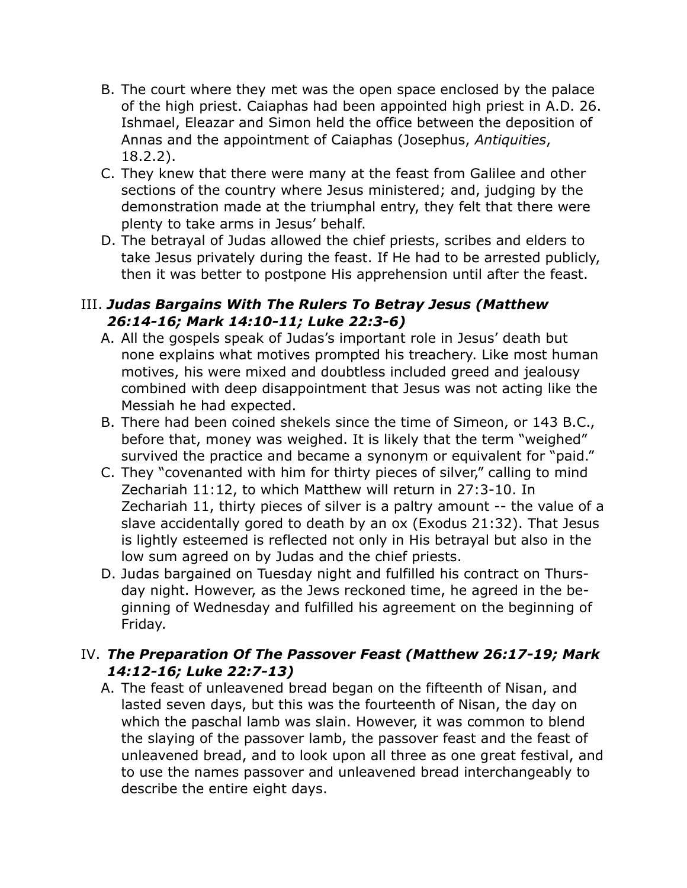- B. The court where they met was the open space enclosed by the palace of the high priest. Caiaphas had been appointed high priest in A.D. 26. Ishmael, Eleazar and Simon held the office between the deposition of Annas and the appointment of Caiaphas (Josephus, *Antiquities*, 18.2.2).
- C. They knew that there were many at the feast from Galilee and other sections of the country where Jesus ministered; and, judging by the demonstration made at the triumphal entry, they felt that there were plenty to take arms in Jesus' behalf.
- D. The betrayal of Judas allowed the chief priests, scribes and elders to take Jesus privately during the feast. If He had to be arrested publicly, then it was better to postpone His apprehension until after the feast.

### III. *Judas Bargains With The Rulers To Betray Jesus (Matthew 26:14-16; Mark 14:10-11; Luke 22:3-6)*

- A. All the gospels speak of Judas's important role in Jesus' death but none explains what motives prompted his treachery. Like most human motives, his were mixed and doubtless included greed and jealousy combined with deep disappointment that Jesus was not acting like the Messiah he had expected.
- B. There had been coined shekels since the time of Simeon, or 143 B.C., before that, money was weighed. It is likely that the term "weighed" survived the practice and became a synonym or equivalent for "paid."
- C. They "covenanted with him for thirty pieces of silver," calling to mind Zechariah 11:12, to which Matthew will return in 27:3-10. In Zechariah 11, thirty pieces of silver is a paltry amount -- the value of a slave accidentally gored to death by an ox (Exodus 21:32). That Jesus is lightly esteemed is reflected not only in His betrayal but also in the low sum agreed on by Judas and the chief priests.
- D. Judas bargained on Tuesday night and fulfilled his contract on Thursday night. However, as the Jews reckoned time, he agreed in the beginning of Wednesday and fulfilled his agreement on the beginning of Friday.

# IV. *The Preparation Of The Passover Feast (Matthew 26:17-19; Mark 14:12-16; Luke 22:7-13)*

A. The feast of unleavened bread began on the fifteenth of Nisan, and lasted seven days, but this was the fourteenth of Nisan, the day on which the paschal lamb was slain. However, it was common to blend the slaying of the passover lamb, the passover feast and the feast of unleavened bread, and to look upon all three as one great festival, and to use the names passover and unleavened bread interchangeably to describe the entire eight days.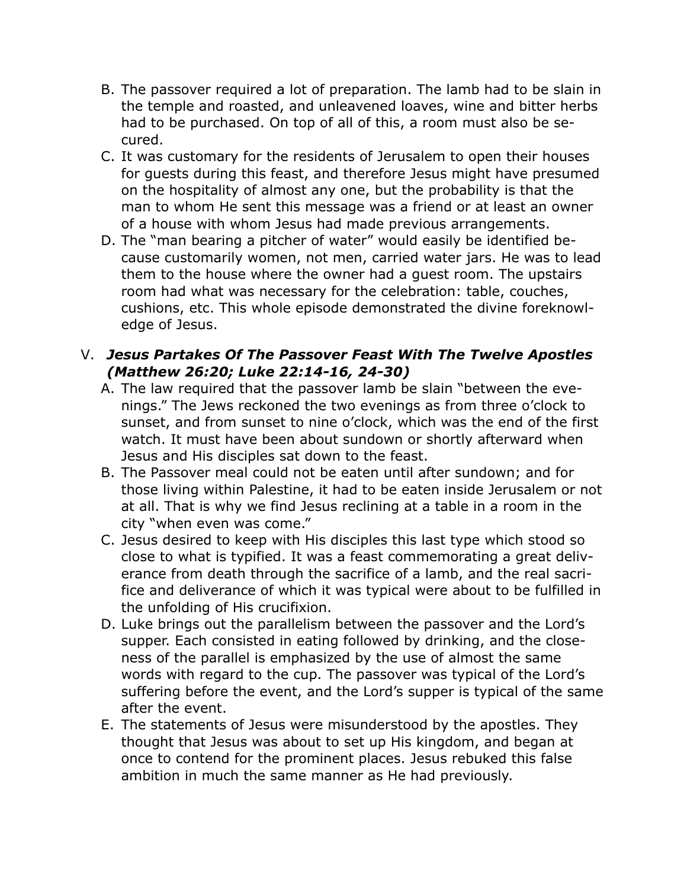- B. The passover required a lot of preparation. The lamb had to be slain in the temple and roasted, and unleavened loaves, wine and bitter herbs had to be purchased. On top of all of this, a room must also be secured.
- C. It was customary for the residents of Jerusalem to open their houses for guests during this feast, and therefore Jesus might have presumed on the hospitality of almost any one, but the probability is that the man to whom He sent this message was a friend or at least an owner of a house with whom Jesus had made previous arrangements.
- D. The "man bearing a pitcher of water" would easily be identified because customarily women, not men, carried water jars. He was to lead them to the house where the owner had a guest room. The upstairs room had what was necessary for the celebration: table, couches, cushions, etc. This whole episode demonstrated the divine foreknowledge of Jesus.

# V. *Jesus Partakes Of The Passover Feast With The Twelve Apostles (Matthew 26:20; Luke 22:14-16, 24-30)*

- A. The law required that the passover lamb be slain "between the evenings." The Jews reckoned the two evenings as from three o'clock to sunset, and from sunset to nine o'clock, which was the end of the first watch. It must have been about sundown or shortly afterward when Jesus and His disciples sat down to the feast.
- B. The Passover meal could not be eaten until after sundown; and for those living within Palestine, it had to be eaten inside Jerusalem or not at all. That is why we find Jesus reclining at a table in a room in the city "when even was come."
- C. Jesus desired to keep with His disciples this last type which stood so close to what is typified. It was a feast commemorating a great deliverance from death through the sacrifice of a lamb, and the real sacrifice and deliverance of which it was typical were about to be fulfilled in the unfolding of His crucifixion.
- D. Luke brings out the parallelism between the passover and the Lord's supper. Each consisted in eating followed by drinking, and the closeness of the parallel is emphasized by the use of almost the same words with regard to the cup. The passover was typical of the Lord's suffering before the event, and the Lord's supper is typical of the same after the event.
- E. The statements of Jesus were misunderstood by the apostles. They thought that Jesus was about to set up His kingdom, and began at once to contend for the prominent places. Jesus rebuked this false ambition in much the same manner as He had previously.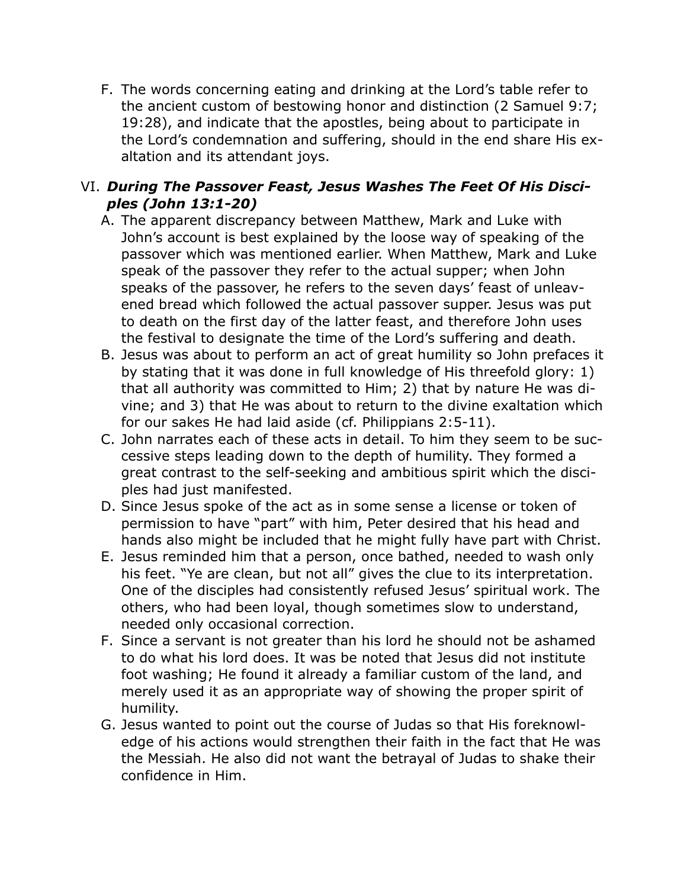F. The words concerning eating and drinking at the Lord's table refer to the ancient custom of bestowing honor and distinction (2 Samuel 9:7; 19:28), and indicate that the apostles, being about to participate in the Lord's condemnation and suffering, should in the end share His exaltation and its attendant joys.

# VI. *During The Passover Feast, Jesus Washes The Feet Of His Disciples (John 13:1-20)*

- A. The apparent discrepancy between Matthew, Mark and Luke with John's account is best explained by the loose way of speaking of the passover which was mentioned earlier. When Matthew, Mark and Luke speak of the passover they refer to the actual supper; when John speaks of the passover, he refers to the seven days' feast of unleavened bread which followed the actual passover supper. Jesus was put to death on the first day of the latter feast, and therefore John uses the festival to designate the time of the Lord's suffering and death.
- B. Jesus was about to perform an act of great humility so John prefaces it by stating that it was done in full knowledge of His threefold glory: 1) that all authority was committed to Him; 2) that by nature He was divine; and 3) that He was about to return to the divine exaltation which for our sakes He had laid aside (cf. Philippians 2:5-11).
- C. John narrates each of these acts in detail. To him they seem to be successive steps leading down to the depth of humility. They formed a great contrast to the self-seeking and ambitious spirit which the disciples had just manifested.
- D. Since Jesus spoke of the act as in some sense a license or token of permission to have "part" with him, Peter desired that his head and hands also might be included that he might fully have part with Christ.
- E. Jesus reminded him that a person, once bathed, needed to wash only his feet. "Ye are clean, but not all" gives the clue to its interpretation. One of the disciples had consistently refused Jesus' spiritual work. The others, who had been loyal, though sometimes slow to understand, needed only occasional correction.
- F. Since a servant is not greater than his lord he should not be ashamed to do what his lord does. It was be noted that Jesus did not institute foot washing; He found it already a familiar custom of the land, and merely used it as an appropriate way of showing the proper spirit of humility.
- G. Jesus wanted to point out the course of Judas so that His foreknowledge of his actions would strengthen their faith in the fact that He was the Messiah. He also did not want the betrayal of Judas to shake their confidence in Him.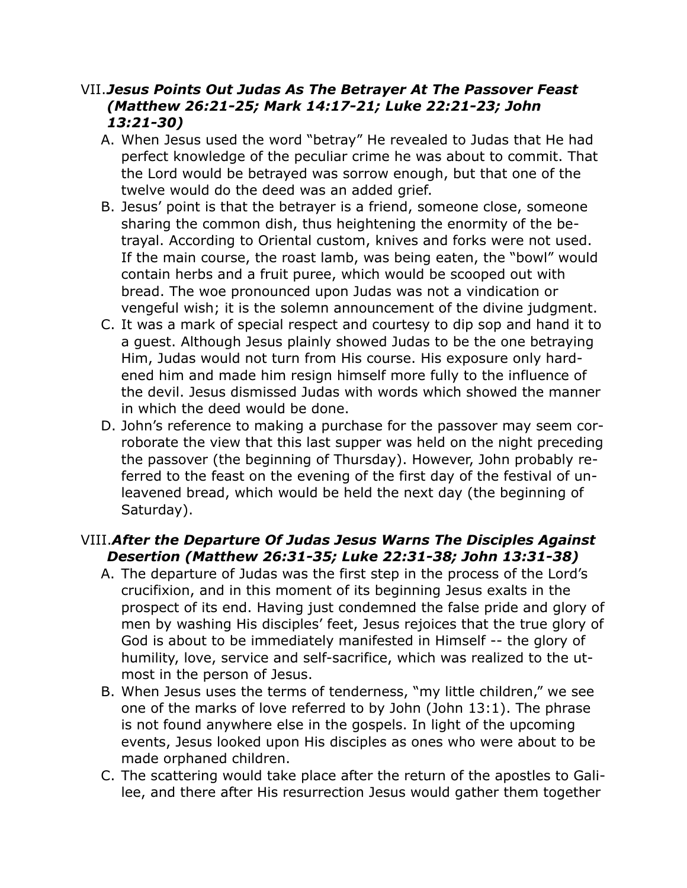#### VII.*Jesus Points Out Judas As The Betrayer At The Passover Feast (Matthew 26:21-25; Mark 14:17-21; Luke 22:21-23; John 13:21-30)*

- A. When Jesus used the word "betray" He revealed to Judas that He had perfect knowledge of the peculiar crime he was about to commit. That the Lord would be betrayed was sorrow enough, but that one of the twelve would do the deed was an added grief.
- B. Jesus' point is that the betrayer is a friend, someone close, someone sharing the common dish, thus heightening the enormity of the betrayal. According to Oriental custom, knives and forks were not used. If the main course, the roast lamb, was being eaten, the "bowl" would contain herbs and a fruit puree, which would be scooped out with bread. The woe pronounced upon Judas was not a vindication or vengeful wish; it is the solemn announcement of the divine judgment.
- C. It was a mark of special respect and courtesy to dip sop and hand it to a guest. Although Jesus plainly showed Judas to be the one betraying Him, Judas would not turn from His course. His exposure only hardened him and made him resign himself more fully to the influence of the devil. Jesus dismissed Judas with words which showed the manner in which the deed would be done.
- D. John's reference to making a purchase for the passover may seem corroborate the view that this last supper was held on the night preceding the passover (the beginning of Thursday). However, John probably referred to the feast on the evening of the first day of the festival of unleavened bread, which would be held the next day (the beginning of Saturday).

# VIII.*After the Departure Of Judas Jesus Warns The Disciples Against Desertion (Matthew 26:31-35; Luke 22:31-38; John 13:31-38)*

- A. The departure of Judas was the first step in the process of the Lord's crucifixion, and in this moment of its beginning Jesus exalts in the prospect of its end. Having just condemned the false pride and glory of men by washing His disciples' feet, Jesus rejoices that the true glory of God is about to be immediately manifested in Himself -- the glory of humility, love, service and self-sacrifice, which was realized to the utmost in the person of Jesus.
- B. When Jesus uses the terms of tenderness, "my little children," we see one of the marks of love referred to by John (John 13:1). The phrase is not found anywhere else in the gospels. In light of the upcoming events, Jesus looked upon His disciples as ones who were about to be made orphaned children.
- C. The scattering would take place after the return of the apostles to Galilee, and there after His resurrection Jesus would gather them together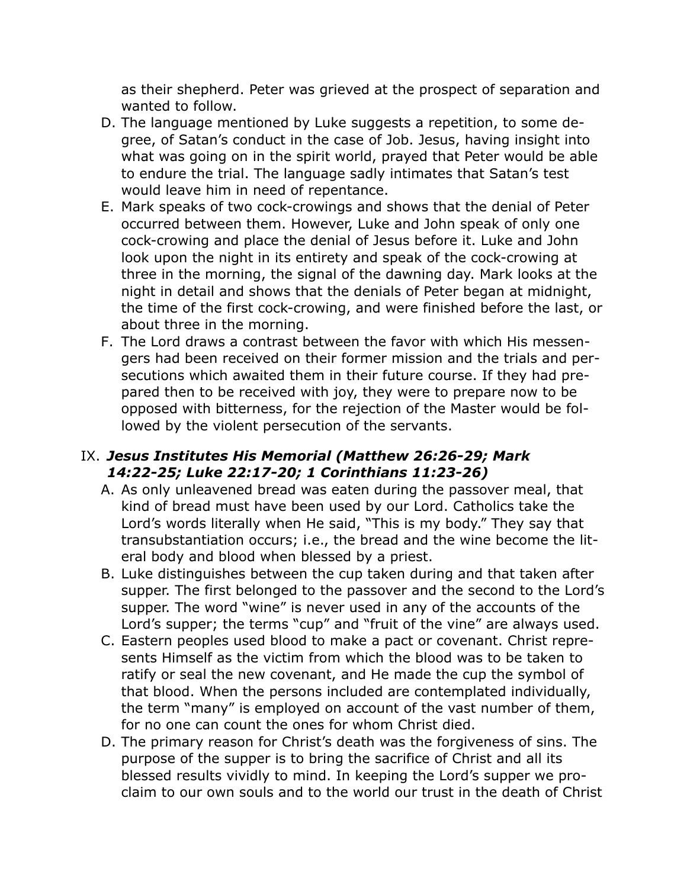as their shepherd. Peter was grieved at the prospect of separation and wanted to follow.

- D. The language mentioned by Luke suggests a repetition, to some degree, of Satan's conduct in the case of Job. Jesus, having insight into what was going on in the spirit world, prayed that Peter would be able to endure the trial. The language sadly intimates that Satan's test would leave him in need of repentance.
- E. Mark speaks of two cock-crowings and shows that the denial of Peter occurred between them. However, Luke and John speak of only one cock-crowing and place the denial of Jesus before it. Luke and John look upon the night in its entirety and speak of the cock-crowing at three in the morning, the signal of the dawning day. Mark looks at the night in detail and shows that the denials of Peter began at midnight, the time of the first cock-crowing, and were finished before the last, or about three in the morning.
- F. The Lord draws a contrast between the favor with which His messengers had been received on their former mission and the trials and persecutions which awaited them in their future course. If they had prepared then to be received with joy, they were to prepare now to be opposed with bitterness, for the rejection of the Master would be followed by the violent persecution of the servants.

## IX. *Jesus Institutes His Memorial (Matthew 26:26-29; Mark 14:22-25; Luke 22:17-20; 1 Corinthians 11:23-26)*

- A. As only unleavened bread was eaten during the passover meal, that kind of bread must have been used by our Lord. Catholics take the Lord's words literally when He said, "This is my body." They say that transubstantiation occurs; i.e., the bread and the wine become the literal body and blood when blessed by a priest.
- B. Luke distinguishes between the cup taken during and that taken after supper. The first belonged to the passover and the second to the Lord's supper. The word "wine" is never used in any of the accounts of the Lord's supper; the terms "cup" and "fruit of the vine" are always used.
- C. Eastern peoples used blood to make a pact or covenant. Christ represents Himself as the victim from which the blood was to be taken to ratify or seal the new covenant, and He made the cup the symbol of that blood. When the persons included are contemplated individually, the term "many" is employed on account of the vast number of them, for no one can count the ones for whom Christ died.
- D. The primary reason for Christ's death was the forgiveness of sins. The purpose of the supper is to bring the sacrifice of Christ and all its blessed results vividly to mind. In keeping the Lord's supper we proclaim to our own souls and to the world our trust in the death of Christ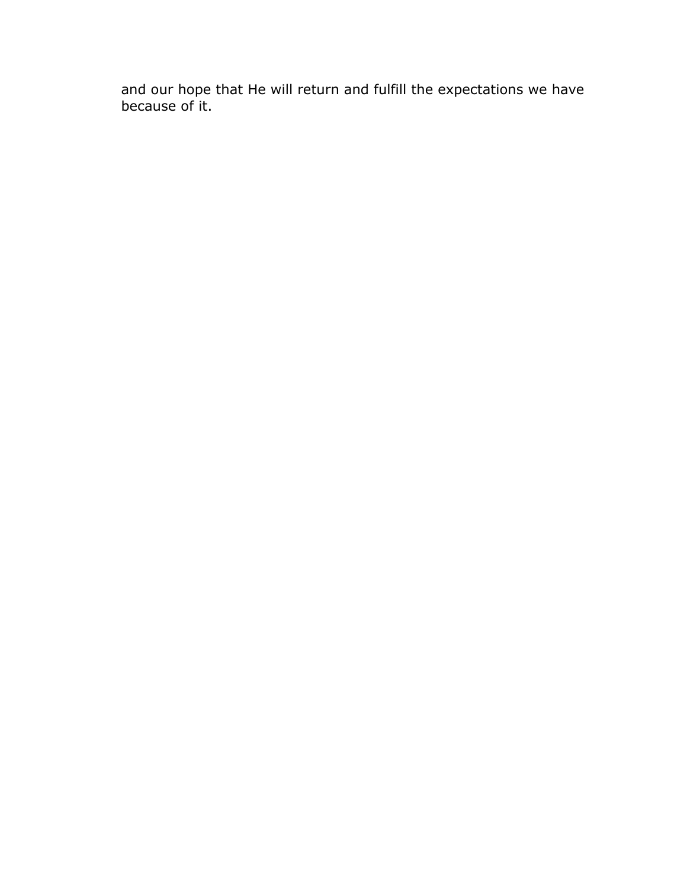and our hope that He will return and fulfill the expectations we have because of it.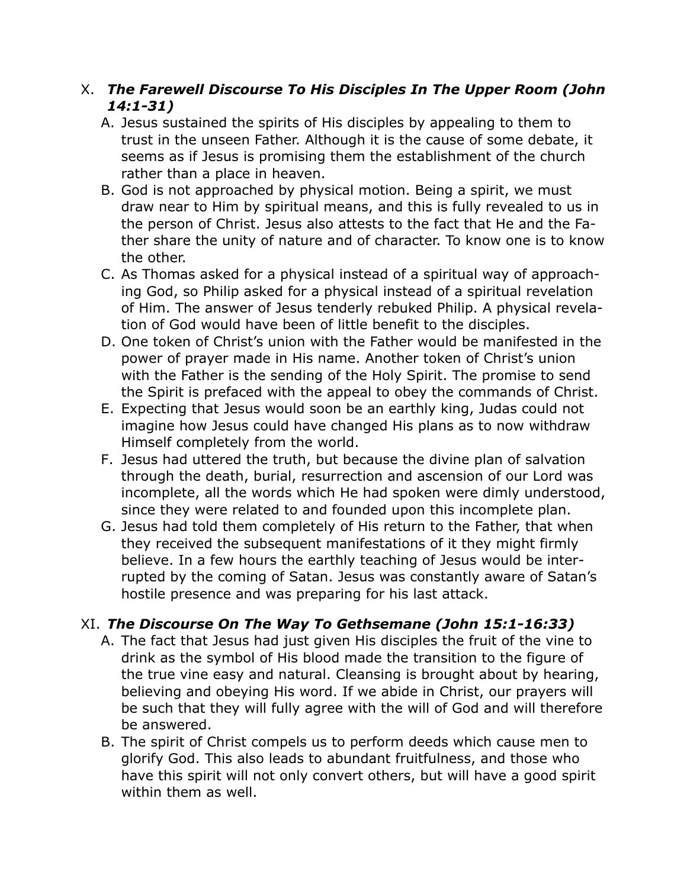## X. *The Farewell Discourse To His Disciples In The Upper Room (John 14:1-31)*

- A. Jesus sustained the spirits of His disciples by appealing to them to trust in the unseen Father. Although it is the cause of some debate, it seems as if Jesus is promising them the establishment of the church rather than a place in heaven.
- B. God is not approached by physical motion. Being a spirit, we must draw near to Him by spiritual means, and this is fully revealed to us in the person of Christ. Jesus also attests to the fact that He and the Father share the unity of nature and of character. To know one is to know the other.
- C. As Thomas asked for a physical instead of a spiritual way of approaching God, so Philip asked for a physical instead of a spiritual revelation of Him. The answer of Jesus tenderly rebuked Philip. A physical revelation of God would have been of little benefit to the disciples.
- D. One token of Christ's union with the Father would be manifested in the power of prayer made in His name. Another token of Christ's union with the Father is the sending of the Holy Spirit. The promise to send the Spirit is prefaced with the appeal to obey the commands of Christ.
- E. Expecting that Jesus would soon be an earthly king, Judas could not imagine how Jesus could have changed His plans as to now withdraw Himself completely from the world.
- F. Jesus had uttered the truth, but because the divine plan of salvation through the death, burial, resurrection and ascension of our Lord was incomplete, all the words which He had spoken were dimly understood, since they were related to and founded upon this incomplete plan.
- G. Jesus had told them completely of His return to the Father, that when they received the subsequent manifestations of it they might firmly believe. In a few hours the earthly teaching of Jesus would be interrupted by the coming of Satan. Jesus was constantly aware of Satan's hostile presence and was preparing for his last attack.

# XI. *The Discourse On The Way To Gethsemane (John 15:1-16:33)*

- A. The fact that Jesus had just given His disciples the fruit of the vine to drink as the symbol of His blood made the transition to the figure of the true vine easy and natural. Cleansing is brought about by hearing, believing and obeying His word. If we abide in Christ, our prayers will be such that they will fully agree with the will of God and will therefore be answered.
- B. The spirit of Christ compels us to perform deeds which cause men to glorify God. This also leads to abundant fruitfulness, and those who have this spirit will not only convert others, but will have a good spirit within them as well.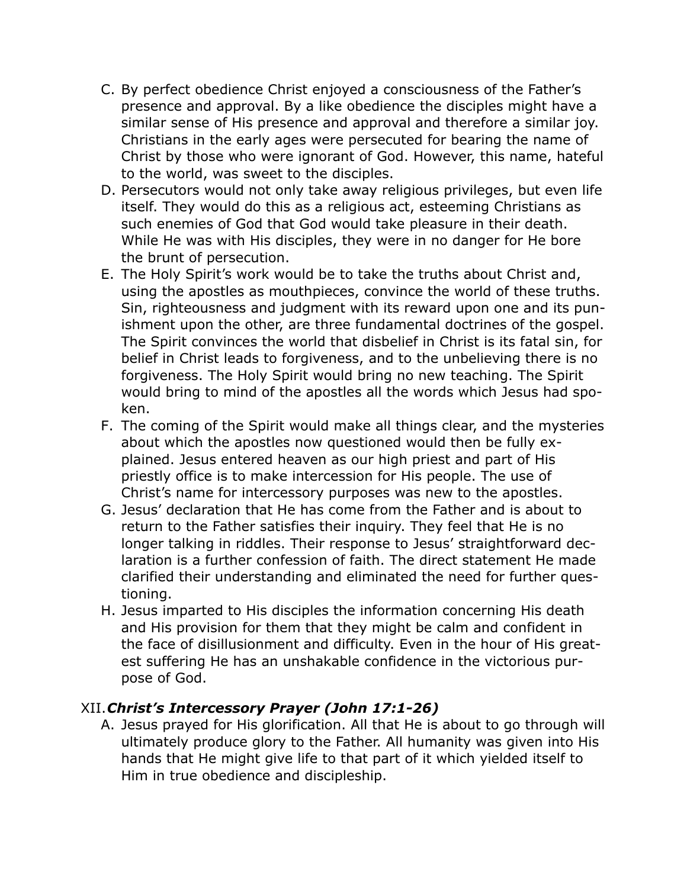- C. By perfect obedience Christ enjoyed a consciousness of the Father's presence and approval. By a like obedience the disciples might have a similar sense of His presence and approval and therefore a similar joy. Christians in the early ages were persecuted for bearing the name of Christ by those who were ignorant of God. However, this name, hateful to the world, was sweet to the disciples.
- D. Persecutors would not only take away religious privileges, but even life itself. They would do this as a religious act, esteeming Christians as such enemies of God that God would take pleasure in their death. While He was with His disciples, they were in no danger for He bore the brunt of persecution.
- E. The Holy Spirit's work would be to take the truths about Christ and, using the apostles as mouthpieces, convince the world of these truths. Sin, righteousness and judgment with its reward upon one and its punishment upon the other, are three fundamental doctrines of the gospel. The Spirit convinces the world that disbelief in Christ is its fatal sin, for belief in Christ leads to forgiveness, and to the unbelieving there is no forgiveness. The Holy Spirit would bring no new teaching. The Spirit would bring to mind of the apostles all the words which Jesus had spoken.
- F. The coming of the Spirit would make all things clear, and the mysteries about which the apostles now questioned would then be fully explained. Jesus entered heaven as our high priest and part of His priestly office is to make intercession for His people. The use of Christ's name for intercessory purposes was new to the apostles.
- G. Jesus' declaration that He has come from the Father and is about to return to the Father satisfies their inquiry. They feel that He is no longer talking in riddles. Their response to Jesus' straightforward declaration is a further confession of faith. The direct statement He made clarified their understanding and eliminated the need for further questioning.
- H. Jesus imparted to His disciples the information concerning His death and His provision for them that they might be calm and confident in the face of disillusionment and difficulty. Even in the hour of His greatest suffering He has an unshakable confidence in the victorious purpose of God.

## XII.*Christ's Intercessory Prayer (John 17:1-26)*

A. Jesus prayed for His glorification. All that He is about to go through will ultimately produce glory to the Father. All humanity was given into His hands that He might give life to that part of it which yielded itself to Him in true obedience and discipleship.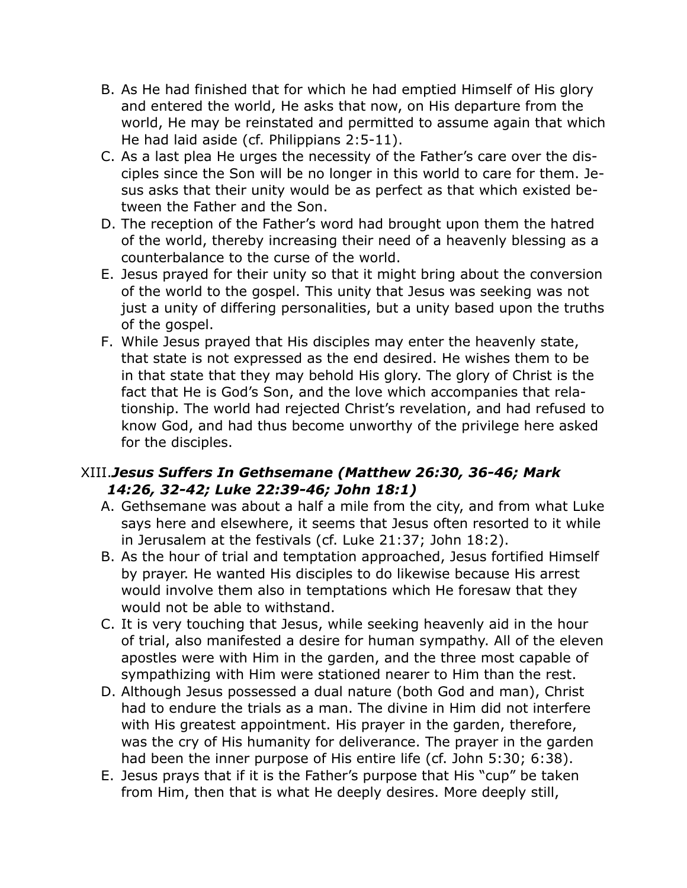- B. As He had finished that for which he had emptied Himself of His glory and entered the world, He asks that now, on His departure from the world, He may be reinstated and permitted to assume again that which He had laid aside (cf. Philippians 2:5-11).
- C. As a last plea He urges the necessity of the Father's care over the disciples since the Son will be no longer in this world to care for them. Jesus asks that their unity would be as perfect as that which existed between the Father and the Son.
- D. The reception of the Father's word had brought upon them the hatred of the world, thereby increasing their need of a heavenly blessing as a counterbalance to the curse of the world.
- E. Jesus prayed for their unity so that it might bring about the conversion of the world to the gospel. This unity that Jesus was seeking was not just a unity of differing personalities, but a unity based upon the truths of the gospel.
- F. While Jesus prayed that His disciples may enter the heavenly state, that state is not expressed as the end desired. He wishes them to be in that state that they may behold His glory. The glory of Christ is the fact that He is God's Son, and the love which accompanies that relationship. The world had rejected Christ's revelation, and had refused to know God, and had thus become unworthy of the privilege here asked for the disciples.

## XIII.*Jesus Suffers In Gethsemane (Matthew 26:30, 36-46; Mark 14:26, 32-42; Luke 22:39-46; John 18:1)*

- A. Gethsemane was about a half a mile from the city, and from what Luke says here and elsewhere, it seems that Jesus often resorted to it while in Jerusalem at the festivals (cf. Luke 21:37; John 18:2).
- B. As the hour of trial and temptation approached, Jesus fortified Himself by prayer. He wanted His disciples to do likewise because His arrest would involve them also in temptations which He foresaw that they would not be able to withstand.
- C. It is very touching that Jesus, while seeking heavenly aid in the hour of trial, also manifested a desire for human sympathy. All of the eleven apostles were with Him in the garden, and the three most capable of sympathizing with Him were stationed nearer to Him than the rest.
- D. Although Jesus possessed a dual nature (both God and man), Christ had to endure the trials as a man. The divine in Him did not interfere with His greatest appointment. His prayer in the garden, therefore, was the cry of His humanity for deliverance. The prayer in the garden had been the inner purpose of His entire life (cf. John 5:30; 6:38).
- E. Jesus prays that if it is the Father's purpose that His "cup" be taken from Him, then that is what He deeply desires. More deeply still,